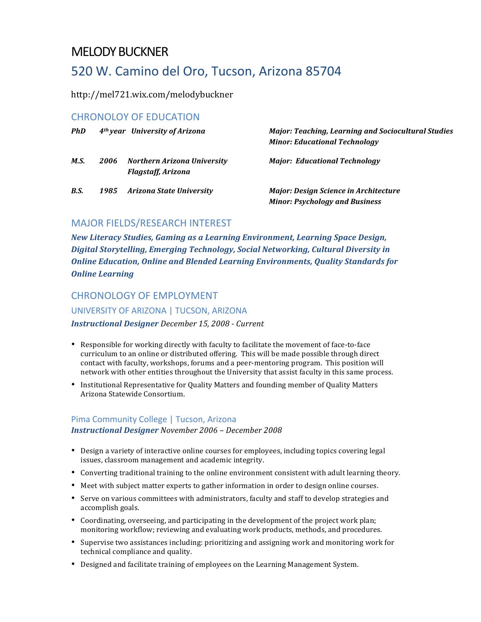## MELODY BUCKNER

# 520 W. Camino del Oro, Tucson, Arizona 85704

http://mel721.wix.com/melodybuckner

#### CHRONOLOY OF EDUCATION

| <b>PhD</b> |      | 4 <sup>th</sup> year University of Arizona               | <b>Major: Teaching, Learning and Sociocultural Studies</b><br><b>Minor: Educational Technology</b> |
|------------|------|----------------------------------------------------------|----------------------------------------------------------------------------------------------------|
| M.S.       | 2006 | Northern Arizona University<br><b>Flagstaff, Arizona</b> | <b>Major: Educational Technology</b>                                                               |
| B.S.       | 1985 | Arizona State Universitv                                 | <b>Major: Design Science in Architecture</b><br><b>Minor: Psychology and Business</b>              |

#### MAJOR FIELDS/RESEARCH INTEREST

*New Literacy Studies, Gaming as a Learning Environment, Learning Space Design,* Digital Storytelling, Emerging Technology, Social Networking, Cultural Diversity in **Online Education, Online and Blended Learning Environments, Quality Standards for** *Online Learning*

#### CHRONOLOGY OF EMPLOYMENT

UNIVERSITY OF ARIZONA | TUCSON, ARIZONA

*Instructional Designer December 15, 2008 - Current*

- Responsible for working directly with faculty to facilitate the movement of face-to-face curriculum to an online or distributed offering. This will be made possible through direct contact with faculty, workshops, forums and a peer-mentoring program. This position will network with other entities throughout the University that assist faculty in this same process.
- Institutional Representative for Quality Matters and founding member of Quality Matters Arizona Statewide Consortium.

#### Pima Community College | Tucson, Arizona *Instructional Designer November 2006 – December 2008*

- Design a variety of interactive online courses for employees, including topics covering legal issues, classroom management and academic integrity.
- Converting traditional training to the online environment consistent with adult learning theory.
- Meet with subject matter experts to gather information in order to design online courses.
- Serve on various committees with administrators, faculty and staff to develop strategies and accomplish goals.
- Coordinating, overseeing, and participating in the development of the project work plan; monitoring workflow; reviewing and evaluating work products, methods, and procedures.
- Supervise two assistances including: prioritizing and assigning work and monitoring work for technical compliance and quality.
- Designed and facilitate training of employees on the Learning Management System.